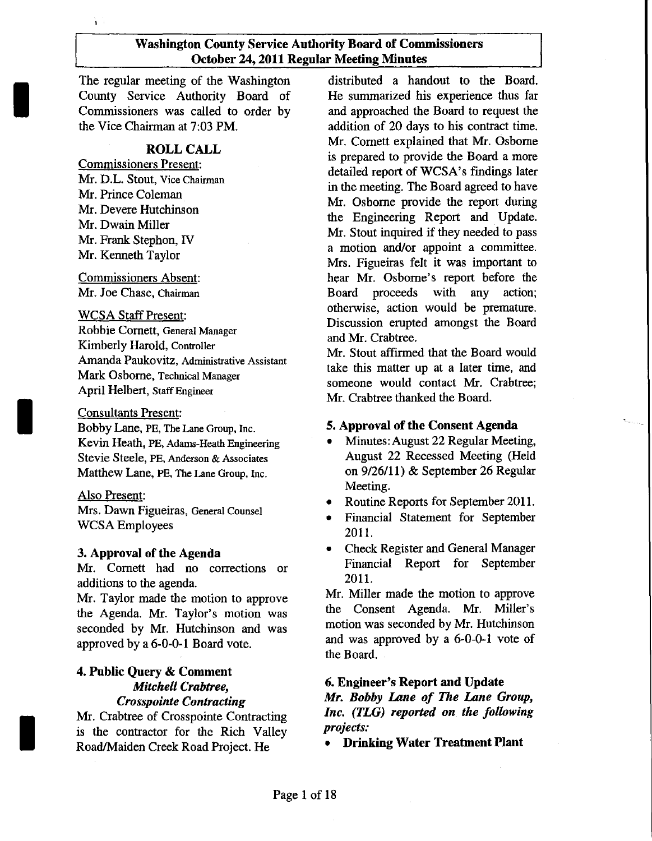The regular meeting of the Washington County Service Authority Board of Commissioners was called to order by the Vice Chairman at 7:03 PM.

#### ROLL CALL

Commissioners Present: Mr. D.L. Stout, Vice Chairman Mr. Prince Coleman Mr. Devere Hutchinson Mr. Dwain Miller Mr. Frank Stephon, IV Mr. Kenneth Taylor

ìэ

I

I

I

Commissioners Absent: Mr. Joe Chase, Chairman

#### WCSA Staff Present:

Robbie Cornett, General Manager Kimberly Harold, Controller Amanda Paukovitz, Administrative Assistant Mark Osborne, Technical Manager April Helbert, StaffEngineer

#### Consultants Present:

Bobby Lane, PE, The Lane Group, Inc. Kevin Heath, PE, Adams-Heath Engineering Stevie Steele, PE, Anderson & Associates Matthew Lane, PE, The Lane Group, Inc.

#### Also Present:

Mrs. Dawn Figueiras, General Counsel WCSA Employees

#### 3. Approval of the Agenda

Mr. Cornett had no corrections or additions to the agenda.

Mr. Taylor made the motion to approve the Agenda. Mr. Taylor's motion was seconded by Mr. Hutchinson and was approved by a 6-0-0-1 Board vote.

#### 4. Public Query & Comment *Mitchell Crabtree, Crosspointe Contracting*

Mr. Crabtree of Crosspointe Contracting is the contractor for the Rich Valley Road/Maiden Creek Road Project. He

distributed a handout to the Board. He summarized his experience thus far and approached the Board to request the addition of 20 days to his contract time. Mr. Cornett explained that Mr. Osborne is prepared to provide the Board a more detailed report of WCSA's findings later in the meeting. The Board agreed to have Mr. Osborne provide the report during the Engineering Report and Update. Mr. Stout inquired if they needed to pass a motion and/or appoint a committee. Mrs. Figueiras felt it was important to hear Mr. Osborne's report before the Board proceeds with any action; otherwise, action would be premature. Discussion erupted amongst the Board and Mr. Crabtree.

Mr. Stout affirmed that the Board would take this matter up at a later time, and someone would contact Mr. Crabtree; Mr. Crabtree thanked the Board.

#### s. Approval of the Consent Agenda

- Minutes: August 22 Regular Meeting, August 22 Recessed Meeting (Held on 9/26/11) & September 26 Regular Meeting.
- Routine Reports for September 2011.
- Financial Statement for September 2011.
- Check Register and General Manager Financial Report for September 2011.

Mr. Miller made the motion to approve the Consent Agenda. Mr. Miller's motion was seconded by Mr. Hutchinson and was approved by a 6-0-0-1 vote of the Board.

#### 6. Engineer's Report and Update

*Mr. Bobby Lane of The Lane Group, Inc. (TLG) reported on the following projects:*

• Drinking Water Treatment Plant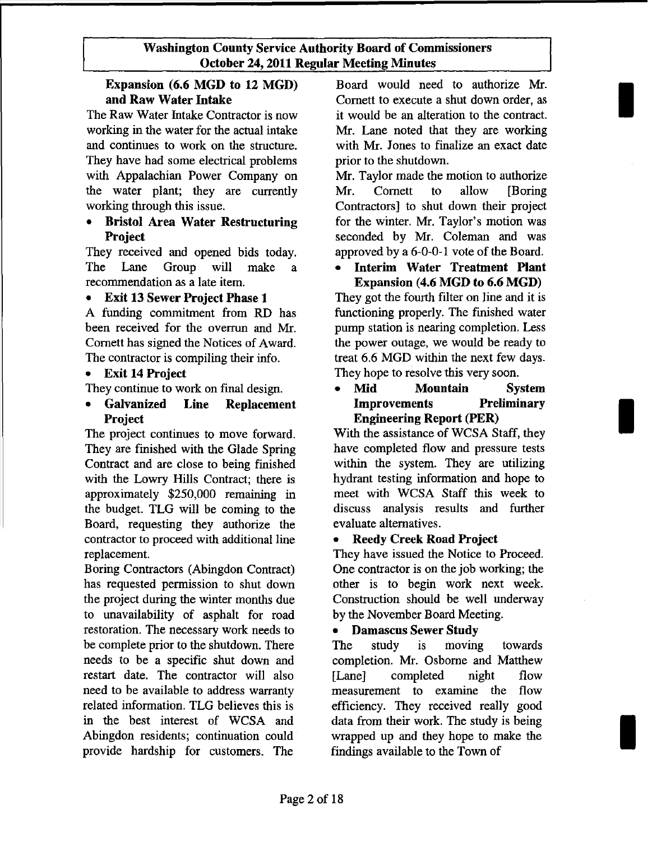# **Expansion (6.6 MGD to 12 MGD) and Raw Water Intake**

The Raw Water Intake Contractor is now working in the water for the actual intake and continues to work on the structure. They have had some electrical problems with Appalachian Power Company on the water plant; they are currently working through this issue.

## **• Bristol Area Water Restrncturing Project**

They received and opened bids today. The Lane Group will make a recommendation as a late item.

# **• Exit 13 Sewer Project Phase 1**

A funding commitment from **RD** has been received for the overrun and Mr. Cornett has signed the Notices of Award. The contractor is compiling their info.

## **• Exit 14 Project**

They continue to work on final design.

**• Galvanized Line Replacement Project**

The project continues to move forward. They are finished with the Glade Spring Contract and are close to being finished with the Lowry Hills Contract; there is approximately \$250,000 remaining in the budget. TLG will be coming to the Board, requesting they authorize the contractor to proceed with additional line replacement.

Boring Contractors (Abingdon Contract) has requested permission to shut down the project during the winter months due to unavailability of asphalt for road restoration. The necessary work needs to be complete prior to the shutdown. There needs to be a specific shut down and restart date. The contractor will also need to be available to address warranty related information. TLG believes this is in the best interest of WCSA and Abingdon residents; continuation could provide hardship for customers. The

Board would need to authorize Mr. Cornett to execute a shut down order, as it would be an alteration to the contract. Mr. Lane noted that they are working with Mr. Jones to finalize an exact date prior to the shutdown.

I

I

I

Mr. Taylor made the motion to authorize Mr. Cornett to allow [Boring Contractors] to shut down their project for the winter. Mr. Taylor's motion was seconded by Mr. Coleman and was approved by a 6-0-0-1 vote of the Board.

# **• Interim Water Treatment Plant Expansion (4.6 MGD to 6.6 MGD)**

They got the fourth filter on line and it is functioning properly. The finished water pump station is nearing completion. Less the power outage, we would be ready to treat 6.6 MGD within the next few days. They hope to resolve this very soon.

### **• Mid Mountain System Improvements Preliminary Engineering Report (PER)**

With the assistance of WCSA Staff, they have completed flow and pressure tests within the system. They are utilizing hydrant testing information and hope to meet with WCSA Staff this week to discuss analysis results and further evaluate alternatives.

#### **• Reedy Creek Road Project**

They have issued the Notice to Proceed. One contractor is on the job working; the other is to begin work next week. Construction should be well underway by the November Board Meeting.

# **• Damascus Sewer Study**

The study is moving towards completion. Mr. Osborne and Matthew [Lane] completed night flow measurement to examine the flow efficiency. They received really good data from their work. The study is being wrapped up and they hope to make the findings available to the Town of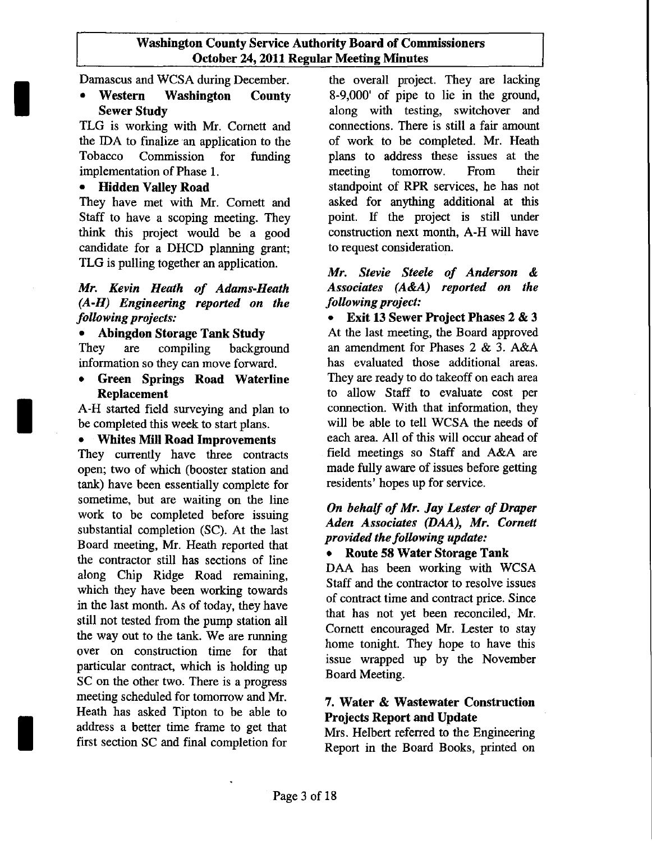Damascus and WCSA during December.

• Western Washington County Sewer Study

TLG is working with Mr. Cornett and the IDA to finalize an application to the Tobacco Commission for funding implementation of Phase 1.

# • Hidden Valley Road

I

I

I

They have met with Mr. Cornett and Staff to have a scoping meeting. They think this project would be a good candidate for a DHCD planning grant; TLG is pulling together an application.

## *Mr. Kevin Heath of Adams-Heath (A-H) Engineering reported on the following projects:*

# • Abingdon Storage Tank Study

They are compiling background information so they can move forward.

• Green Springs Road Waterline Replacement

A-H started field surveying and plan to be completed this week to start plans.

# • Whites Mill Road Improvements

They currently have three contracts open; two of which (booster station and tank) have been essentially complete for sometime, but are waiting on the line work to be completed before issuing substantial completion (SC). At the last Board meeting, Mr. Heath reported that the contractor still has sections of line along Chip Ridge Road remaining, which they have been working towards in the last month. As of today, they have still not tested from the pump station all the way out to the tank. We are running over on construction time for that particular contract, which is holding up SC on the other two. There is a progress meeting scheduled for tomorrow and Mr. Heath has asked Tipton to be able to address a better time frame to get that first section SC and final completion for

the overall project. They are lacking 8-9,000' of pipe to lie in the ground, along with testing, switchover and connections. There is still a fair amount of work to be completed. Mr. Heath plans to address these issues at the meeting tomorrow. From their standpoint of RPR services, he has not asked for anything additional at this point. If the project is still under construction next month, A-H will have to request consideration.

## *Mr. Stevie Steele of Anderson* & *Associates (A&A) reported on the following project:*

• Exit 13 Sewer Project Phases 2 & 3 At the last meeting, the Board approved an amendment for Phases 2 & 3. A&A has evaluated those additional areas. They are ready to do takeoff on each area to allow Staff to evaluate cost per connection. With that information, they will be able to tell WCSA the needs of each area. All of this will occur ahead of field meetings so Staff and A&A are made fully aware of issues before getting residents' hopes up for service.

## *On behalf of Mr. Jay Lester of Draper Aden Associates (DAA), Mr. Cornett provided the following update:*

# • Route 58 Water Storage Tank

DAA has been working with WCSA Staff and the contractor to resolve issues of contract time and contract price. Since that has not yet been reconciled, Mr. Cornett encouraged Mr. Lester to stay home tonight. They hope to have this issue wrapped up by the November Board Meeting.

## 7. Water & Wastewater Construction Projects Report and Update

Mrs. Helbert referred to the Engineering Report in the Board Books, printed on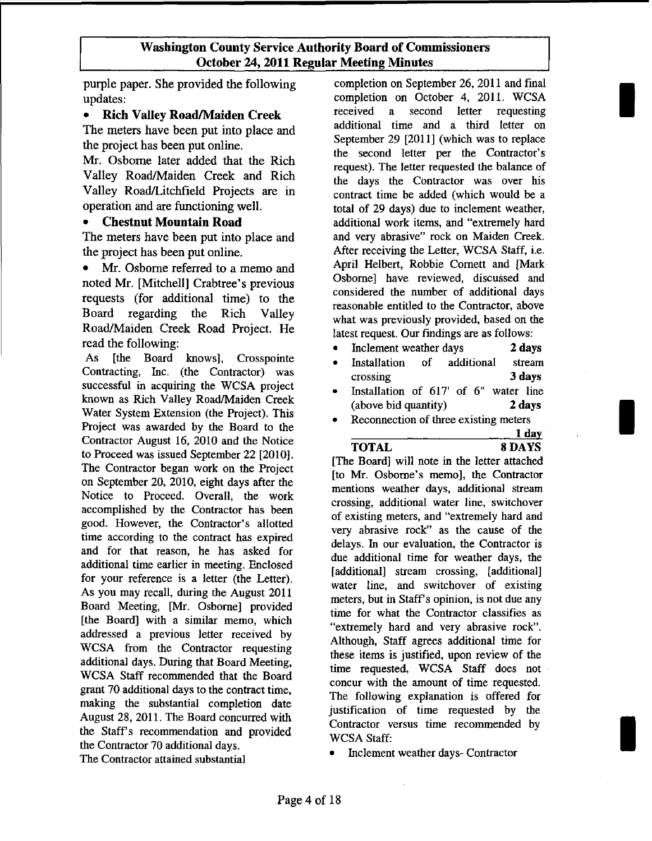purple paper. She provided the following updates:

#### • Rich Valley Road/Maiden Creek

The meters have been put into place and the project has been put online.

Mr. Osborne later added that the Rich Valley Road/Maiden Creek and Rich Valley Road/Litchfield Projects are in operation and are functioning well.

#### • Chestnut Mountain Road

The meters have been put into place and the project has been put online.

Mr. Osborne referred to a memo and noted Mr. [Mitchell] Crabtree's previous requests (for additional time) to the Board regarding the Rich Valley Road/Maiden Creek Road Project. He read the following:

As [the Board knows], Crosspointe Contracting, Inc. (the Contractor) was successful in acquiring the WCSA project known as Rich Valley Road/Maiden Creek Water System Extension (the Project). This Project was awarded by the Board to the Contractor August 16, 2010 and the Notice to Proceed was issued September 22 [2010]. The Contractor began work on the Project on September 20, 2010, eight days after the Notice to Proceed. Overall, the work accomplished by the Contractor has been good. However, the Contractor's allotted time according to the contract has expired and for that reason, he has asked for additional time earlier in meeting. Enclosed for your reference is a letter (the Letter). As you may recall, during the August 2011 Board Meeting, [Mr. Osborne] provided [the Board] with a similar memo, which addressed a previous letter received by WCSA from the Contractor requesting additional days. During that Board Meeting, WCSA Staff recommended that the Board grant 70 additional days to the contract time, making the substantial completion date August 28,2011. The Board concurred with the Staff's recommendation and provided the Contractor 70 additional days.

completion on September 26, 2011 and final completion on October 4, 2011. WCSA received a second letter requesting additional time and a third letter on September 29 [2011] (which was to replace the second letter per the Contractor's request). The letter requested the balance of the days the Contractor was over his contract time be added (which would be a total of 29 days) due to inclement weather, additional work items, and "extremely hard and very abrasive" rock on Maiden Creek. After receiving the Letter, WCSA Staff, i.e. April Helbert, Robbie Cornett and [Mark Osborne] have reviewed, discussed and considered the number of additional days reasonable entitled to the Contractor, above what was previously provided, based on the latest request. Our findings are as follows:

- Inclement weather days 2 days
- Installation of additional stream crossing 3 days
- Installation of 617' of 6" water line (above bid quantity) 2 days
- Reconnection of three existing meters

1 day TOTAL 8 DAYS

I

I

I

[The Board] will note in the letter attached [to Mr. Osborne's memo], the Contractor mentions weather days, additional stream crossing, additional water line, switchover of existing meters, and "extremely hard and very abrasive rock" as the cause of the delays. In our evaluation, the Contractor is due additional time for weather days, the [additional] stream crossing, [additional] water line, and switchover of existing meters, but in Staff's opinion, is not due any time for what the Contractor classifies as "extremely hard and very abrasive rock". Although, Staff agrees additional time for these items is justified, upon review of the time requested, WCSA Staff does not concur with the amount of time requested. The following explanation is offered for justification of time requested by the Contractor versus time recommended by WCSA Staff:

• Inclement weather days- Contractor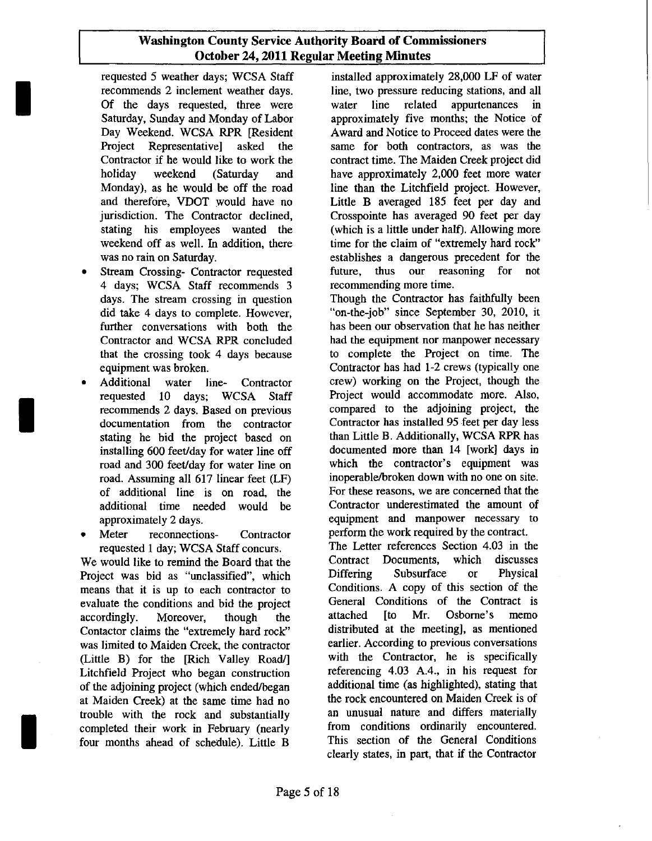I

I

I

- 4 days; WCSA Staff recommends 3 days. The stream crossing in question Though the Contractor has faithfully been
- recommends 2 days. Based on previous installing 600 feet/day for water line off of additional line is on road, the
- Frame is a meter reconnections-<br>
Frame is a meter reference of the contract.<br>
The Letter references Section 4.03 in the Letter references Section 4.03 in the

We would like to remind the Board that the Contract Documents, Project was bid as "unclassified", which Differing Subsurface or Physical means that it is un to each contractor to Conditions. A copy of this section of the means that it is up to each contractor to conditions. A copy of this section of the evaluate the conditions and bid the project General Conditions of the Contract is evaluate the conditions and bid the project General Conditions of the Contract is expected. General Conditions of the Contract is expected. accordingly. Moreover, though the attached [to Mr. Osborne's memo<br>Contactor claims the "extremely hard rock" distributed at the meeting], as mentioned Contactor claims the "extremely hard rock" was limited to Maiden Creek, the contractor earlier. According to previous conversations<br>(Little B) for the [Rich Valley Road/] with the Contractor, he is specifically (Little B) for the [Rich Valley Road/] with the Contractor, he is specifically Litchfield Project who began construction referencing 4.03 A.4., in his request for Litchfield Project who began construction referencing 4.03 A.4., in his request for of the adioining project (which ended/began additional time (as highlighted), stating that of the adjoining project (which ended/began additional time (as highlighted), stating that of the same time had no the rock encountered on Maiden Creek is of at Maiden Creek) at the same time had no the rock encountered on Maiden Creek is of<br>trouble with the rock and substantially an unusual nature and differs materially trouble with the rock and substantially an unusual nature and differs materially<br>completed their work in February (pearly from conditions ordinarily encountered. completed their work in February (nearly from conditions ordinarily encountered.<br>
four months ahead of schedule) Little B. This section of the General Conditions four months ahead of schedule). Little B

requested 5 weather days; WCSA Staff installed approximately 28,000 LF of water recommends 2 inclement weather days. line, two pressure reducing stations, and all Of the days requested, three were water line related appurtenances in Saturday, Sunday and Monday of Labor approximately five months; the Notice of Day Weekend. WCSA RPR [Resident Award and Notice to Proceed dates were the Project Representative] asked the same for both contractors, as was the Contractor if he would like to work the contract time. The Maiden Creek project did holiday weekend (Saturday and have approximately 2,000 feet more water Monday), as he would be off the road line than the Litchfield project. However, and therefore, VDOT would have no Little B averaged 185 feet per day and Little B averaged 185 feet per day and jurisdiction. The Contractor declined, Crosspointe has averaged 90 feet per day stating his employees wanted the (which is a little under half). Allowing more weekend off as well. In addition, there time for the claim of "extremely hard rock" was no rain on Saturday. The establishes a dangerous precedent for the Stream Crossing- Contractor requested future, thus our reasoning for not 4 days; WCSA Staff recommends 3 recommending more time.

did take 4 days to complete. However, "on-the-job" since September 30, 2010, it further conversations with both the has been our observation that he has neither Contractor and WCSA RPR concluded had the equipment nor manpower necessary that the crossing took 4 days because to complete the Project on time. The equipment was broken. Contractor has had 1-2 crews (typically one • Additional water line- Contractor crew) working on the Project, though the requested 10 days; WCSA Staff a Project would accommodate more. Also, recommends 2 days. Based on previous compared to the adjoining project, the documentation from the contractor<br>stating he hid the project based on than Little B. Additionally, WCSA RPR has stating he bid the project based on than Little B. Additionally, WCSA RPR has<br>installing 600 feet/day for water line off documented more than 14 [work] days in road and 300 feet/day for water line on which the contractor's equipment was road. Assuming all 617 linear feet (LF) inoperable/broken down with no one on site.<br>of additional line is on road, the For these reasons, we are concerned that the additional time needed would be Contractor underestimated the amount of approximately 2 days. equipment and manpower necessary to

requested 1 day; WCSA Staff concurs. The Letter references Section 4.03 in the<br>would like to remind the Board that the Contract Documents, which discusses clearly states, in part, that if the Contractor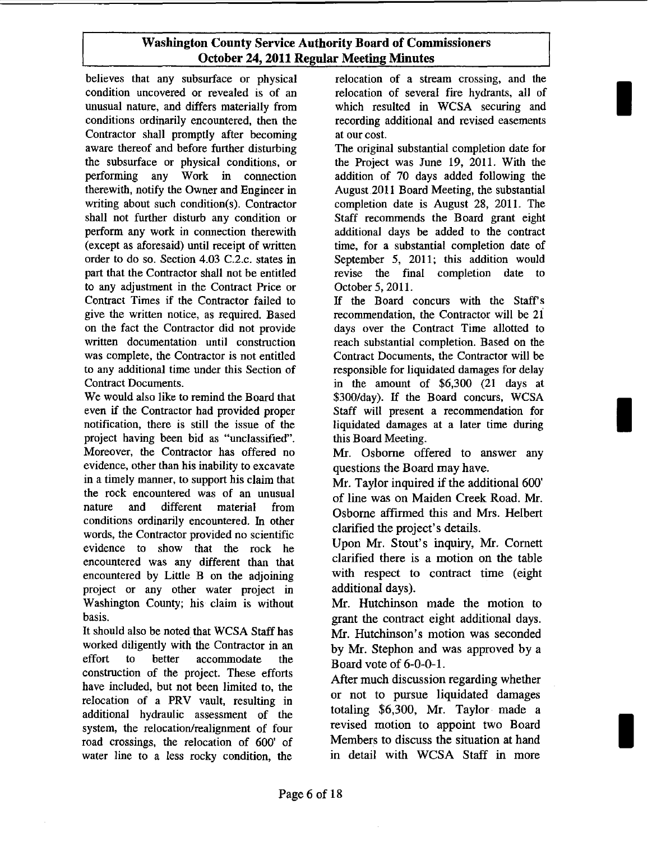believes that any subsurface or physical condition uncovered or revealed is of an unusual nature, and differs materially from conditions ordinarily encountered, then the Contractor shall promptly after becoming aware thereof and before further disturbing the subsurface or physical conditions, or performing any Work in connection therewith, notify the Owner and Engineer in writing about such condition(s). Contractor shall not further disturb any condition or perform any work in connection therewith (except as aforesaid) until receipt of written order to do so. Section 4.03 C.2.c. states in part that the Contractor shall not be entitled to any adjustment in the Contract Price or Contract Times if the Contractor failed to give the written notice, as required. Based on the fact the Contractor did not provide written documentation until construction was complete, the Contractor is not entitled to any additional time under this Section of Contract Documents.

We would also like to remind the Board that even if the Contractor had provided proper notification, there is still the issue of the project having been bid as "unclassified". Moreover, the Contractor has offered no evidence, other than his inability to excavate in a timely manner, to support his claim that the rock encountered was of an unusual nature and different material from conditions ordinarily encountered. In other words, the Contractor provided no scientific evidence to show that the rock he encountered was any different than that encountered by Little B on the adjoining project or any other water project in Washington County; his claim is without basis.

It should also be noted that WCSA Staff has worked diligently with the Contractor in an effort to better accommodate the construction of the project. These efforts have included, but not been limited to, the relocation of a PRY vault, resulting in additional hydraulic assessment of the system, the relocation/realignment of four road crossings, the relocation of 600' of water line to a less rocky condition, the

relocation of a stream crossing, and the relocation of several fire hydrants, all of which resulted in WCSA securing and recording additional and revised easements at our cost.

I

I

I

The original substantial completion date for the Project was June 19, 2011. With the addition of 70 days added following the August2011 Board Meeting, the substantial completion date is August 28, 2011. The Staff recommends the Board grant eight additional days be added to the contract time, for a substantial completion date of September 5, 2011; this addition would revise the final completion date to October 5,2011.

If the Board concurs with the Staff's recommendation, the Contractor will be 21 days over the Contract Time allotted to reach substantial completion. Based on the Contract Documents, the Contractor will be responsible for liquidated damages for delay in the amount of \$6,300 (21 days at \$300/day). If the Board concurs, WCSA Staff will present a recommendation for liquidated damages at a later time during this Board Meeting.

Mr. Osborne offered to answer any questions the Board may have.

Mr. Taylor inquired if the additional 600' of line was on Maiden Creek Road. Mr. Osborne affirmed this and Mrs. Helbert clarified the project's details.

Upon Mr. Stout's inquiry, Mr. Cornett clarified there is a motion on the table with respect to contract time (eight additional days).

Mr. Hutchinson made the motion to grant the contract eight additional days. Mr. Hutchinson's motion was seconded by Mr. Stephon and was approved by a Board vote of 6-0-0-1.

After much discussion regarding whether or not to pursue liquidated damages totaling \$6,300, Mr. Taylor made a revised motion to appoint two Board Members to discuss the situation at hand in detail with WCSA Staff in more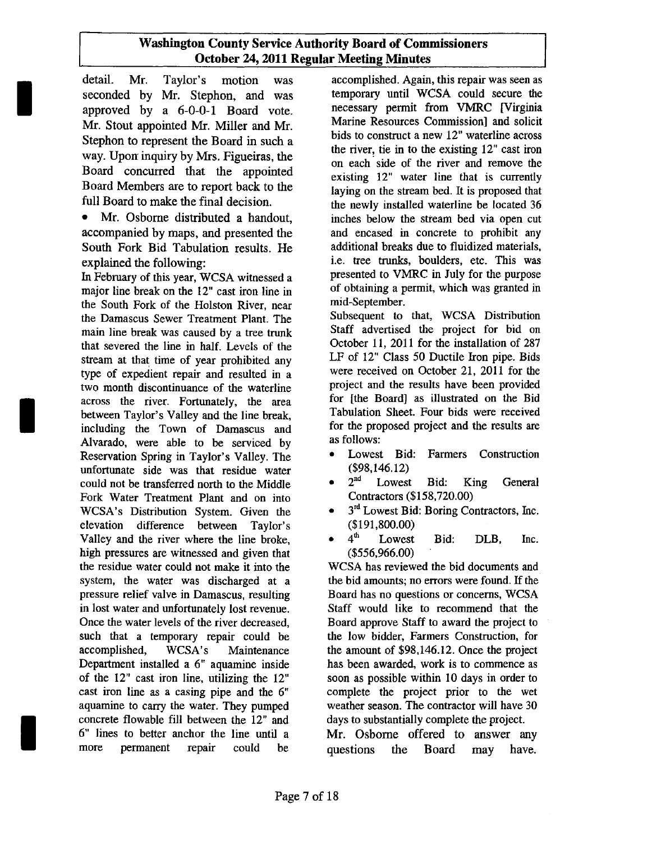detail. Mr. Taylor's motion was accomplished. Again, this repair was seen as seconded by Mr. Stephon and was temporary until WCSA could secure the seconded by Mr. Stephon, and was temporary until WCSA could secure the approved by a 6-0-0-1 Board vote necessary permit from VMRC [Virginia approved by a 6-0-0-1 Board vote. necessary permit from VMRC [Virginia<br>Mr. Stout appointed Mr. Miller and Mr. Marine Resources Commission] and solicit Mr. Stout appointed Mr. Miller and Mr. Marine Resources Commission and solicit<br>Stophen to represent the Beard in such a solid bids to construct a new 12" waterline across Stephon to represent the Board in such a bids to construct a new 12 waterline across<br>the river, tie in to the existing  $12$ " cast iron way. Upon inquiry by Mrs. Figueiras, the the river, the in to the existing 12" cast iron on each side of the river and remove the Board concurred that the appointed Board concurred that the appointed existing 12" water line that is currently<br>Board Members are to report back to the loving on the stream hed It is proposed that Board Members are to report back to the laying on the stream bed. It is proposed that<br>full Board to make the final decision.

I

I

I

• Mr. Osborne distributed a handout, inches below the stream bed via open cut accompanied by maps, and presented the and encased in concrete to prohibit any accompanied by maps, and presented the and encased in concrete to prohibit any<br>South Fork Bid Tahulation results He additional breaks due to fluidized materials. South Fork Bid Tabulation results. He

In February of this year, WCSA witnessed a presented to VMRC in July for the purpose<br>major line break on the 12" cast iron line in of obtaining a permit, which was granted in major line break on the  $12$ " cast iron line in of obtaining a p<br>the South Fork of the Holston Piver, pear mid-September. the South Fork of the Holston River, near mid-September.<br>the Damascus Sewer Treatment Plant The Subsequent to that, WCSA Distribution the Damascus Sewer Treatment Plant. The Subsequent to that, WCSA Distribution<br>main line break was caused by a tree trunk Staff advertised the project for bid on main line break was caused by a tree trunk Staff advertised the project for bid on<br>that severed the line in half I evels of the October 11, 2011 for the installation of 287 that severed the line in half. Levels of the  $\frac{11}{2011}$  for the installation of 287 stream at that time of year prohibited any LF of 12" Class 50 Ductile Iron pipe. Bids stream at that time of year prohibited any LF of 12" Class 50 Ductile Iron pipe. Bids<br>type of expedient repair and resulted in a were received on October 21, 2011 for the type of expedient repair and resulted in a were received on October 21, 2011 for the<br>two month discontinuance of the waterline project and the results have been provided two month discontinuance of the waterline project and the results have been provided<br>across the river Fortunately the area for [the Board] as illustrated on the Bid across the river. Fortunately, the area for [the Board] as illustrated on the Bid<br>hetween Taylor's Valley and the line break Tabulation Sheet. Four bids were received between Taylor's Valley and the line break, Tabulation Sheet. Four bids were received<br>including the Town of Damascus and for the proposed project and the results are including the Town of Damascus and for the pro $\Delta$ lyarado, were able to be serviced by as follows: Alvarado, were able to be serviced by as follows:<br>Reservation Spring in Taylor's Valley The **CONCERC** • Lowest Bid: Farmers Construction Reservation Spring in Taylor's Valley. The • Lowest Bid:<br>
unfortunate side was that residue water (\$98,146.12) unfortunate side was that residue water (\$98,146.12)<br>could not be transferred north to the Middle  $\bullet$  2<sup>nd</sup> Lowest could not be transferred north to the Middle  $\bullet$   $2^{nd}$  Lowest Bid: King General Fork Water Treatment Plant and on into Contractors (\$158,720.00) Fork Water Treatment Plant and on into WCSA's Distribution System. Given the  $\bullet$  3<sup>rd</sup> Lowest Bid: Boring Contractors, Inc. elevation difference between Taylor's (\$191,800.00)<br>Valley and the river where the line broke  $\bullet$  4<sup>th</sup> Lowest Valley and the river where the line broke,  $\bullet$  4<sup>th</sup> Lowest Bid: DLB, Inc. high pressures are witnessed and given that (\$556,966.00) the residue water could not make it into the WCSA has reviewed the bid documents and system, the water was discharged at a the bid amounts; no errors were found. If the pressure relief valve in Damascus, resulting Board has no questions or concerns, WCSA pressure relief valve in Damascus, resulting in lost water and unfortunately lost revenue. Staff would like to recommend that the Once the water levels of the river decreased, Board approve Staff to award the project to such that a temporary repair could be the low bidder, Farmers Construction, for accomplished, WCSA's Maintenance the amount of \$98,146.12. Once the project Department installed a 6" aquamine inside has been awarded, work is to commence as of the 12" cast iron line, utilizing the 12" soon as possible within 10 days in order to cast iron line as a casing pipe and the 6" complete the project prior to the wet aquamine to carry the water. They pumped weather season. The contractor will have 30 concrete flowable fill between the 12" and days to substantially complete the project. 6" lines to better anchor the line until a Mr. Osborne offered to answer any more permanent repair could be questions the Board may have.

the newly installed waterline be located 36 explained the following:<br>
In February of this year WCSA witnessed a series presented to VMRC in July for the purpose

- 
- 
- 
-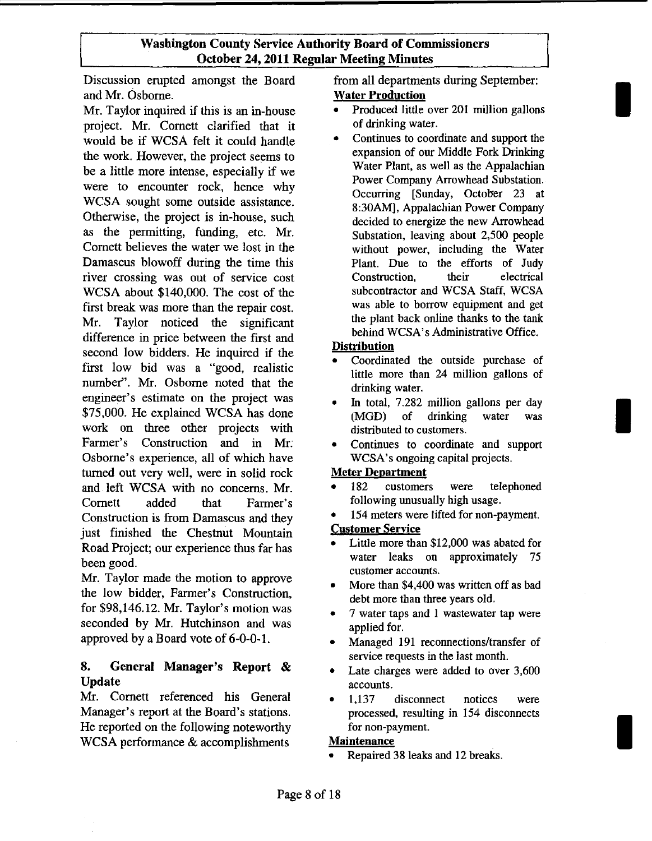Discussion erupted amongst the Board from all departments during September: and Mr. Osborne. Water Production

Mr. Taylor inquired if this is an in-house • Produced little over 201 million gallons<br>project Mr. Cornett clarified that it of drinking water. project. Mr. Cornett clarified that it of drinking water.<br>would be if WCSA felt it could handle • Continues to coordinate and support the would be if WCSA felt it could handle<br>the work. However, the project seems to expansion of our Middle Fork Drinking the work. However, the project seems to expansion of our Middle Fork Drinking<br>has a little more intense, aspecially if we water Plant, as well as the Appalachian be a little more intense, especially if we were to encounter rock, hence why<br>WCSA sought some outside assistance.<br>WCSA sought some outside assistance. WCSA sought some outside assistance.<br>Otherwise, the project is in-house, such decided to energize the new Arrowhead Otherwise, the project is in-house, such decided to energize the new Arrowhead<br>as the permitting, funding, etc. Mr. Substation leaving about 2.500 people as the permitting, funding, etc. Mr.<br>Cornett believes the water we lost in the substation, leaving about 2,500 people cornett believes the water Damascus blowoff during the time this Plant. Due to the efforts of Judy river crossing was out of service cost Construction, their electrical WCSA about \$140,000. The cost of the subcontractor and WCSA Staff, WCSA first hreak was more than the repair cost was able to borrow equipment and get first break was more than the repair cost.<br>Mr. Taylor, poticed, the significant the plant back online thanks to the tank Mr. Taylor noticed the significant the plant back online thanks to the tank<br>difference in miss between the first and the behind WCSA's Administrative Office. difference in price between the first and second low bidders. He inquired if the  $\frac{\text{Distribution}}{\text{{{\color{red}S}\space}}$ second low bidders. He inquired if the • Coordinated the outside purchase of first low bid was a "good, realistic little more than 24 million gallons of number". Mr. Osborne noted that the drinking water. engineer's estimate on the project was • In total, 7.282 million gallons per day \$75,000. He explained WCSA has done (MGD) of drinking water was work on three other projects with distributed to customers. Farmer's Construction and in Mr. • Continues to coordinate and support Osborne's experience, all of which have WCSA's ongoing capital projects. turned out very well, were in solid rock Meter Department and left WCSA with no concerns. Mr. • 182 customers were telephoned Cornett added that Farmer's following unusually high usage.<br>Construction is from Damascus and they • 154 meters were lifted for non-payment. Construction is from Damascus and they • 154 meters were littled the Chestnut Mountain just finished the Chestnut Mountain<br>
Pood Project: our experience thus for hea. <br>
• Little more than \$12,000 was abated for Road Project; our experience thus far has • Little more than \$12,000 was abated for<br>water leaks on approximately 75 been good.<br>
Mr. Taylor made the motion to approve<br>
M. the \$4,400.

the low bidder, Farmer's Construction,<br>for \$98,146.12. Mr. Taylor's motion was<br> $\frac{3.7 \text{ water}}{2.7 \text{ water}}$  than three years old. seconded by Mr. Hutchinson and was applied for. approved by a Board vote of  $6-0-0-1$ .  $\bullet$  Managed 191 reconnections/transfer of

# 8. General Manager's Report & Update

Mr. Cornett referenced his General Manager's report at the Board's stations. He reported on the following noteworthy WCSA performance & accomplishments

I

I

I

Power Company Arrowhead Substation. without power, including the Water

- 
- 
- 

- 
- 

- 
- More than \$4,400 was written off as bad
- 7 water taps and 1 was tewater tap were
- service requests in the last month.
- Late charges were added to over 3,600 accounts.
- 1,137 disconnect notices were processed, resulting in 154 disconnects for non-payment.

#### **Maintenance**

Repaired 38 leaks and 12 breaks.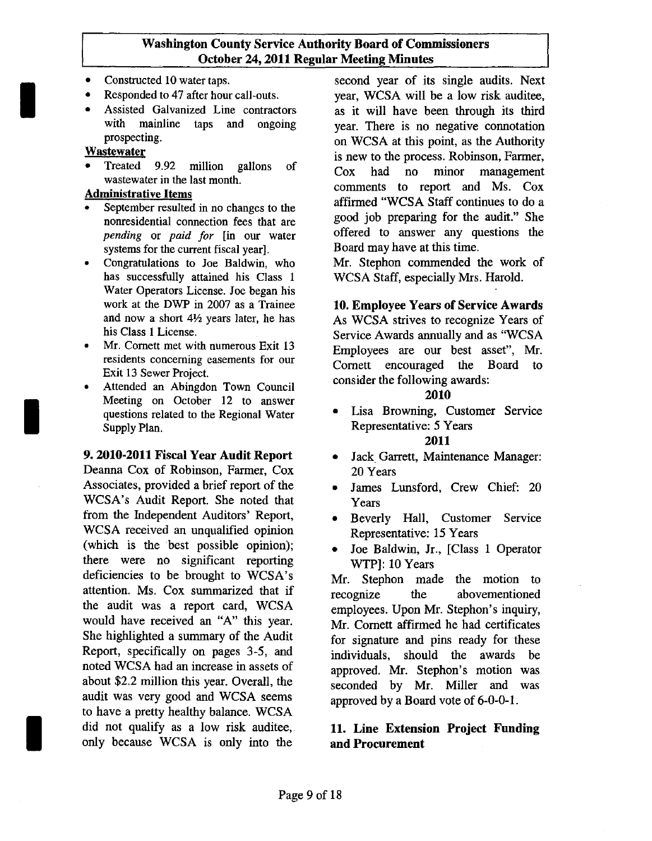- 
- 
- 

I

I

- *pending* or *paid for* [in our water offered to answer any questions for the current fiscal vearl. Board may have at this time. systems for the current fiscal year].
- has successfully attained his Class 1 WCSA Staff, especially Mrs. Harold. Water Operators License. Joe began his work at the DWP in 2007 as a Trainee and now a short *4Yz* years later, he has his Class 1License.
- Mr. Cornett met with numerous Exit 13 residents concerning easements for our Exit 13 Sewer Project.
- Attended an Abingdon Town Council Meeting on October 12 to answer questions related to the Regional Water Supply Plan.

#### 9. 2010·2011 Fiscal Year Audit Report

Deanna Cox of Robinson, Fanner, Cox Associates, provided a brief report of the WCSA's Audit Report. She noted that from the Independent Auditors' Report, WCSA received an unqualified opinion (which is the best possible opinion); there were no significant reporting deficiencies to be brought to WCSA's attention. Ms. Cox summarized that if the audit was a report card, WCSA would have received an "A" this year. She highlighted a summary of the Audit Report, specifically on pages 3-5, and noted WCSA had an increase in assets of about \$2.2 million this year. Overall, the audit was very good and WCSA seems to have a pretty healthy balance. WCSA did not qualify as a low risk auditee, only because WCSA is only into the

• Constructed 10 water taps.<br>• Responded to 47 after hour call-outs. vear, WCSA will be a low risk auditee, • Responded to 47 after hour call-outs. year, WCSA will be a low risk auditee,<br>• Assisted Galvanized Line contractors as it will have been through its third as it will have been through its third with mainline taps and ongoing year. There is no negative connotation<br>prospecting. on WCSA at this noint as the Authority prospecting.<br> **Wastewater**<br> **Wastewater**<br> **Wastewater**<br> **Wastewater**<br> **Wastewater**<br> **Philosopherical conducts**<br> **Philosopherical conducts**<br> **Philosopherical conducts**<br> **Philosopherical conducts**<br> **Philosopherical conducts** is new to the process. Robinson, Farmer,<br>of  $\sum_{n=1}^{\infty}$  and the process monography Treated 9.92 million gallons of Cox had no minor management wastewater in the last month. wastewater in the last month.<br> **Administrative Items comments** to report and Ms. Cox Administrative Items<br>
Administrative Items affirmed "WCSA Staff continues to do a<br>
propertion fees that are spood job preparing for the audit." She nonresidential connection fees that are good job preparing for the audit." She<br>need to answer any questions the

• Congratulations to Joe Baldwin, who Mr. Stephon commended the work of

## 10. Employee Years of Service Awards

As WCSA strives to recognize Years of Service Awards annually and as "WCSA Employees are our best asset", Mr. Cornett encouraged the Board to consider the following awards:

#### 2010

- Lisa Browning, Customer Service Representative: 5 Years 2011
- Jack Garrett, Maintenance Manager: 20 Years
- James Lunsford, Crew Chief: 20 Years
- Beverly Hall, Customer Service Representative: 15 Years
- Joe Baldwin, Jr., [Class 1 Operator WTP): 10 Years

Mr. Stephon made the motion to recognize the abovementioned employees. Upon Mr. Stephon's inquiry, Mr. Cornett affirmed he had certificates for signature and pins ready for these individuals, should the awards be approved. Mr. Stephon's motion was seconded by Mr. Miller and was approved by a Board vote of 6-0-0-1.

# 11. Line Extension Project Funding and Procurement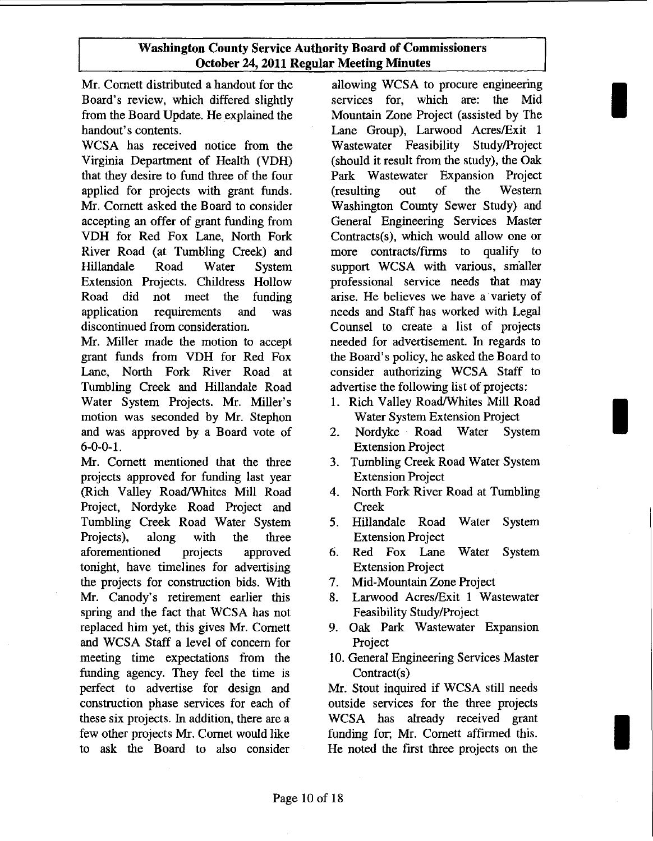Mr. Cornett distributed a handout for the Board's review, which differed slightly from the Board Update. He explained the handout's contents.

WCSA has received notice from the Virginia Department of Health (VDH) that they desire to fund three of the four applied for projects with grant funds. Mr. Cornett asked the Board to consider accepting an offer of grant funding from VDH for Red Fox Lane, North Fork River Road (at Tumbling Creek) and Hillandale Road Water System Extension Projects. Childress Hollow Road did not meet the funding application requirements and was discontinued from consideration.

Mr. Miller made the motion to accept grant funds from VDH for Red Fox Lane, North Fork River Road at Tumbling Creek and Hillandale Road Water System Projects. Mr. Miller's motion was seconded by Mr. Stephon and was approved by a Board vote of 6-0-0-1.

Mr. Cornett mentioned that the three projects approved for funding last year (Rich Valley Road/Whites Mill Road Project, Nordyke Road Project and Tumbling Creek Road Water System Projects), along with the three aforementioned projects approved tonight, have timelines for advertising the projects for construction bids. With Mr. Canody's retirement earlier this spring and the fact that WCSA has not replaced him yet, this gives Mr. Cornett and WCSA Staff a level of concern for meeting time expectations from the funding agency. They feel the time is perfect to advertise for design and construction phase services for each of these six projects. In addition, there are a few other projects Mr. Cornet would like to ask the Board to also consider

allowing WCSA to procure engineering services for, which are: the Mid Mountain Zone Project (assisted by The Lane Group), Larwood Acres/Exit 1 Wastewater Feasibility StudylProject (should it result from the study), the Oak Park Wastewater Expansion Project (resulting out of the Western Washington County Sewer Study) and General Engineering Services Master Contracts(s), which would allow one or more contracts/firms to qualify to support WCSA with various, smaller professional service needs that may arise. He believes we have a variety of needs and Staff has worked with Legal Counsel to create a list of projects needed for advertisement. In regards to the Board's policy, he asked the Board to consider authorizing WCSA Staff to advertise the following list of projects:

I

I

I

- 1. Rich Valley Road/Whites Mill Road Water System Extension Project
- 2. Nordyke Road Water System Extension Project
- 3. Tumbling Creek Road Water System Extension Project
- 4. North Fork River Road at Tumbling Creek
- 5. Hillandale Road Water System Extension Project
- 6. Red Fox Lane Water System Extension Project
- 7. Mid-Mountain Zone Project
- 8. Larwood Acres/Exit 1 Wastewater Feasibility Study/Project
- 9. Oak Park Wastewater Expansion Project
- 10. General Engineering Services Master Contract(s)

Mr. Stout inquired if WCSA still needs outside services for the three projects WCSA has already received grant funding for; Mr. Cornett affirmed this. He noted the first three projects on the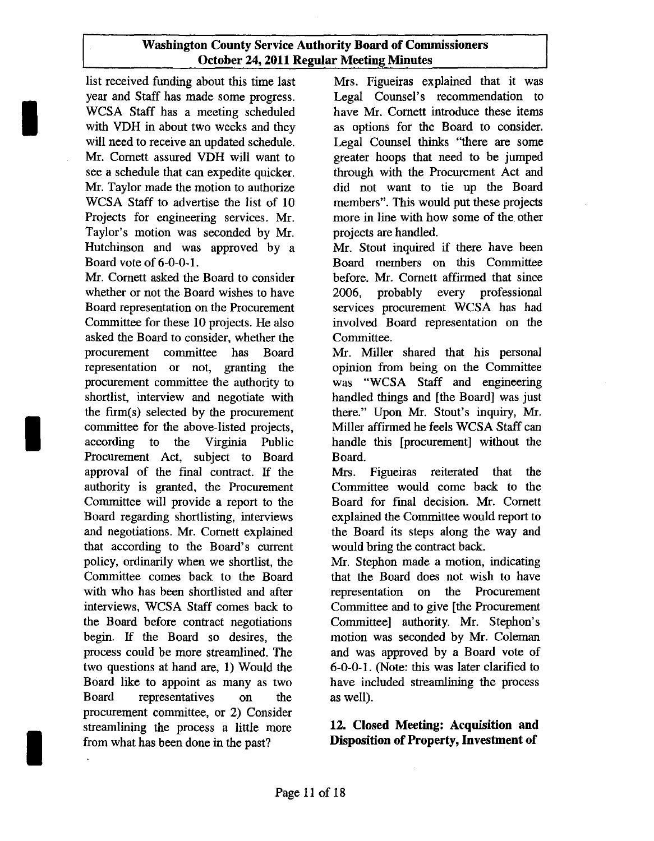list received funding about this time last year and Staff has made some progress. WCSA Staff has a meeting scheduled with VDH in about two weeks and they will need to receive an updated schedule. Mr. Cornett assured VDH will want to see a schedule that can expedite quicker. Mr. Taylor made the motion to authorize WCSA Staff to advertise the list of 10 Projects for engineering services. Mr. Taylor's motion was seconded by Mr. Hutchinson and was approved by a Board vote of 6-0-0-1.

I

I

I

Mr. Cornett asked the Board to consider whether or not the Board wishes to have Board representation on the Procurement Committee for these 10 projects. He also asked the Board to consider, whether the procurement committee has Board representation or not, granting the procurement committee the authority to shortlist, interview and negotiate with the firm $(s)$  selected by the procurement committee for the above-listed projects, according to the Virginia Public Procurement Act, subject to Board approval of the final contract. If the authority is granted, the Procurement Committee will provide a report to the Board regarding shortlisting, interviews and negotiations. Mr. Cornett explained that according to the Board's current policy, ordinarily when we shortlist, the Committee comes back to the Board with who has been shortlisted and after interviews, WCSA Staff comes back to the Board before contract negotiations begin. If the Board so desires, the process could be more streamlined. The two questions at hand are, 1) Would the Board like to appoint as many as two Board representatives on the procurement committee, or 2) Consider streamlining the process a little more from what has been done in the past?

Mrs. Figueiras explained that it was Legal Counsel's recommendation to have Mr. Cornett introduce these items as options for the Board to consider. Legal Counsel thinks "there are some greater hoops that need to be jumped through with the Procurement Act and did not want to tie up the Board members". This would put these projects more in line with how some of the other projects are handled.

Mr. Stout inquired if there have been Board members on this Committee before. Mr. Cornett affirmed that since 2006, probably every professional services procurement WCSA has had involved Board representation on the Committee.

Mr. Miller shared that his personal opinion from being on the Committee was "WCSA Staff and engineering handled things and [the Board] was just there." Upon Mr. Stout's inquiry, Mr. Miller affirmed he feels WCSA Staff can handle this [procurement] without the Board.

Mrs. Figueiras reiterated that the Committee would come back to the Board for final decision. Mr. Cornett explained the Committee would report to the Board its steps along the way and would bring the contract back.

Mr. Stephon made a motion, indicating that the Board does not wish to have representation on the Procurement Committee and to give [the Procurement Committee] authority. Mr. Stephon's motion was seconded by Mr. Coleman and was approved by a Board vote of 6-0-0-1. (Note: this was later clarified to have included streamlining the process as well).

# 12. Closed Meeting: Acquisition and Disposition of Property, Investment of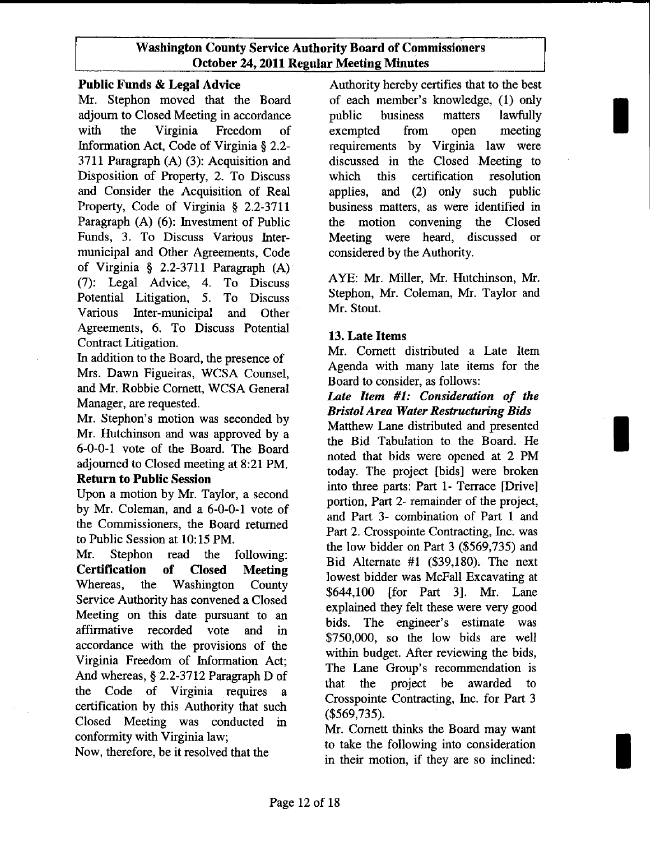Mr. Stephon moved that the Board of each member's knowledge, (1) only adjourn to Closed Meeting in accordance public business matters lawfully with the Virginia Freedom of exempted from open meeting Information Act, Code of Virginia § 2.2- requirements by Virginia law were 3711 Paragraph (A) (3): Acquisition and discussed in the Closed Meeting to Disposition of Property, 2. To Discuss which this certification resolution and Consider the Acquisition of Real applies, and (2) only such public Property, Code of Virginia § 2.2-3711 business matters, as were identified in Paragraph (A) (6): Investment of Public the motion convening the Closed Funds, 3. To Discuss Various Inter- Meeting were heard, discussed or municipal and Other Agreements, Code considered by the Authority. of Virginia § 2.2-3711 Paragraph (A)<br>
(7): Legal Advice, 4. To Discuss AYE: Mr. Miller, Mr. Hutchinson, Mr. Potential Litigation, 5. Various Inter-municipal and Other Mr. Stout. Agreements, 6. To Discuss Potential Contract Litigation.

In addition to the Board, the presence of Mrs. Dawn Figueiras, WCSA Counsel, and Mr. Robbie Cornett, WCSA General Manager, are requested.

Mr. Stephon's motion was seconded by Mr. Hutchinson and was approved by a 6-0-0-1 vote of the Board. The Board adjourned to Closed meeting at 8:21 PM.

# Return to Public Session

Upon a motion by Mr. Taylor, a second by Mr. Coleman, and a 6-0-0-1 vote of the Commissioners, the Board returned to Public Session at 10:15 PM.

Mr. Stephon read the following: Certification of Closed Meeting Whereas, the Washington County Service Authority has convened a Closed Meeting on this date pursuant to an affirmative recorded vote and in accordance with the provisions of the Virginia Freedom of Information Act; And whereas, § 2.2-3712 Paragraph D of the Code of Virginia requires a certification by this Authority that such Closed Meeting was conducted in conformity with Virginia law;

Now, therefore, be it resolved that the

Public Funds & Legal Advice Authority hereby certifies that to the best

I

I

I

To Discuss Stephon, Mr. Coleman, Mr. Taylor and

## 13. Late Items

Mr. Cornett distributed a Late Item Agenda with many late items for the Board to consider, as follows:

## *Late Item* #1: *Consideration of the Bristol Area Water Restructuring Bids*

Matthew Lane distributed and presented the Bid Tabulation to the Board. He noted that bids were opened at 2 PM today. The project [bids] were broken into three parts: Part 1- Terrace [Drive] portion, Part 2- remainder of the project, and Part 3- combination of Part 1 and Part 2. Crosspointe Contracting, Inc. was the low bidder on Part 3 (\$569,735) and Bid Alternate #1 (\$39,180), The next lowest bidder was McFall Excavating at \$644,100 [for Part 3]. Mr. Lane explained they felt these were very good bids. The engineer's estimate was \$750,000, so the low bids are well within budget. After reviewing the bids, The Lane Group's recommendation is that the project be awarded to Crosspointe Contracting, Inc. for Part 3 (\$569,735).

Mr. Cornett thinks the Board may want to take the following into consideration in their motion, if they are so inclined: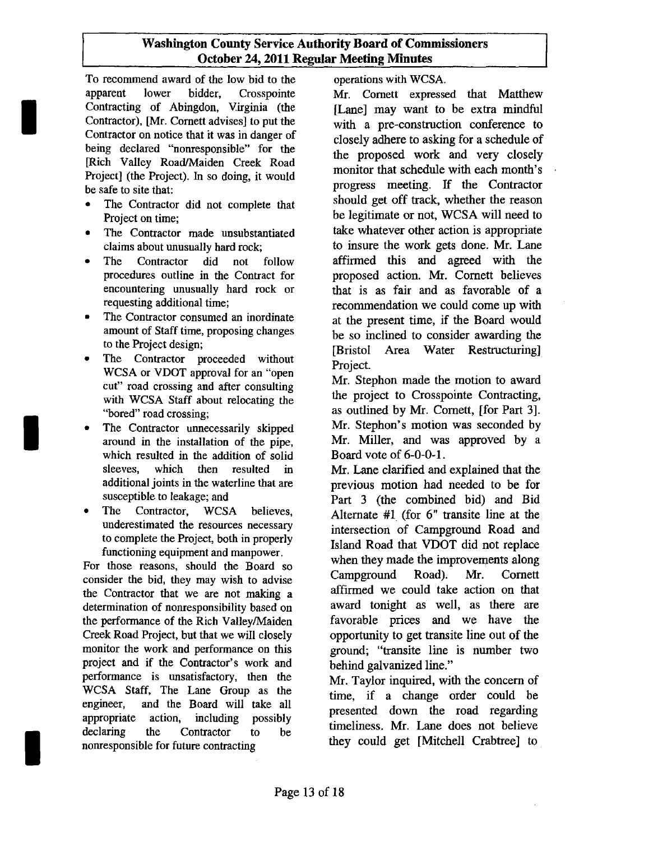To recommend award of the low bid to the apparent lower bidder, Crosspointe Contracting of Abingdon, Virginia (the Contractor), [Mr. Cornett advises] to put the Contractor on notice that it was in danger of being declared "nonresponsible" for the [Rich Valley Road/Maiden Creek Road Project] (the Project). In so doing, it would be safe to site that:

I

I

I

- The Contractor did not complete that Project on time;
- The Contractor made unsubstantiated claims about unusually hard rock;
- The Contractor did not follow procedures outline in the Contract for encountering unusually hard rock or requesting additional time;
- The Contractor consumed an inordinate amount of Staff time, proposing changes to the Project design;
- The Contractor proceeded without WCSA or VDOT approval for an "open cut" road crossing and after consulting with WCSA Staff about relocating the "bored" road crossing;
- The Contractor unnecessarily skipped around in the installation of the pipe, which resulted in the addition of solid sleeves, which then resulted in additional joints in the waterline that are susceptible to leakage; and
- The Contractor, WCSA believes, underestimated the resources necessary to complete the Project, both in properly functioning equipment and manpower.

For those reasons, should the Board so consider the bid, they may wish to advise the Contractor that we are not making a determination of nonresponsibility based on the performance of the Rich ValleylMaiden Creek Road Project, but that we will closely monitor the work and performance on this project and if the Contractor's work and performance is unsatisfactory, then the WCSA Staff, The Lane Group as the engineer, and the Board will take all appropriate action, including possibly declaring the Contractor to be nonresponsible for future contracting

operations with WCSA.

Mr. Cornett expressed that Matthew [Lane] may want to be extra mindful with a pre-construction conference to closely adhere to asking for a schedule of the proposed work and very closely monitor that schedule with each month's progress meeting. If the Contractor should get off track, whether the reason be legitimate or not, WCSA will need to take whatever other action is appropriate to insure the work gets done. Mr. Lane affirmed this and agreed with the proposed action. Mr. Cornett believes that is as fair and as favorable of a recommendation we could come up with at the present time, if the Board would be so inclined to consider awarding the [Bristol Area Water Restructuring] Project.

Mr. Stephon made the motion to award the project to Crosspointe Contracting, as outlined by Mr. Cornett, [for Part 3]. Mr. Stephon's motion was seconded by Mr. Miller, and was approved by a Board vote of 6-0-0-1.

Mr. Lane clarified and explained that the previous motion had needed to be for Part 3 (the combined bid) and Bid Alternate #1 (for 6" transite line at the intersection of Campground Road and Island Road that VDOT did not replace when they made the improvements along Campground Road). Mr. Cornett affirmed we could take action on that award tonight as well, as there are favorable prices and we have the opportunity to get transite line out of the ground; "transite line is number two behind galvanized line."

Mr. Taylor inquired, with the concern of time, if a change order could be presented down the road regarding timeliness. Mr. Lane does not believe they could get [Mitchell Crabtree] to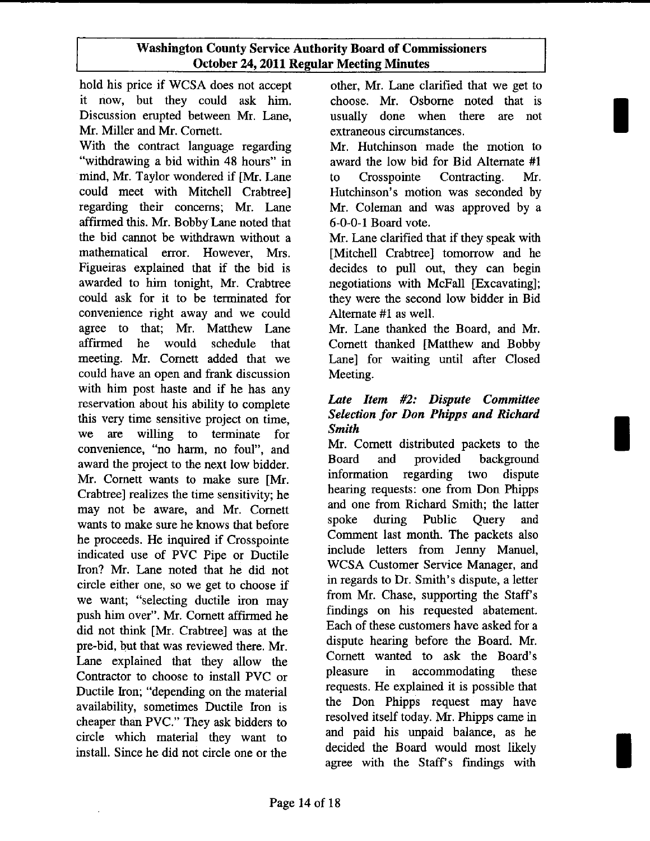hold his price if WCSA does not accept it now, but they could ask him. Discussion erupted between Mr. Lane, Mr. Miller and Mr. Cornett.

With the contract language regarding "withdrawing a bid within 48 hours" in mind, Mr. Taylor wondered if [Mr. Lane could meet with Mitchell Crabtree] regarding their concerns; Mr. Lane affirmed this. Mr. Bobby Lane noted that the bid cannot be withdrawn without a mathematical error. However, Mrs. Figueiras explained that if the bid is awarded to him tonight, Mr. Crabtree could ask for it to be terminated for convenience right away and we could agree to that; Mr. Matthew Lane affirmed he would schedule that meeting. Mr. Cornett added that we could have an open and frank discussion with him post haste and if he has any reservation about his ability to complete this very time sensitive project on time, we are willing to terminate for convenience, "no harm, no foul", and award the project to the next low bidder. Mr. Cornett wants to make sure [Mr. Crabtree] realizes the time sensitivity; he may not be aware, and Mr. Cornett wants to make sure he knows that before he proceeds. He inquired if Crosspointe indicated use of PVC Pipe or Ductile Iron? Mr. Lane noted that he did not circle either one, so we get to choose if we want; "selecting ductile iron may push him over". Mr. Cornett affirmed he did not think [Mr. Crabtree] was at the pre-bid, but that was reviewed there. Mr. Lane explained that they allow the Contractor to choose to install PVC or Ductile Iron; "depending on the material availability, sometimes Ductile Iron is cheaper than PVC." They ask bidders to circle which material they want to install. Since he did not circle one or the

other, Mr. Lane clarified that we get to choose. Mr. Osborne noted that is usually done when there are not extraneous circumstances.

I

I

I

Mr. Hutchinson made the motion to award the low bid for Bid Alternate #1 to Crosspointe Contracting. Mr. Hutchinson's motion was seconded by Mr. Coleman and was approved by a 6-0-0-1 Board vote.

Mr. Lane clarified that if they speak with [Mitchell Crabtree] tomorrow and he decides to pull out, they can begin negotiations with McFall [Excavating]; they were the second low bidder in Bid Alternate #1 as well.

Mr. Lane thanked the Board, and Mr. Cornett thanked [Matthew and Bobby Lane] for waiting until after Closed Meeting.

# *Late Item* #2: *Dispute Committee Selection for Don Phipps and Richard Smith*

Mr. Cornett distributed packets to the Board and provided background information regarding two dispute hearing requests: one from Don Phipps and one from Richard Smith; the latter spoke during Public Query and Comment last month. The packets also include letters from Jenny Manuel, WCSA Customer Service Manager, and in regards to Dr. Smith's dispute, a letter from Mr. Chase, supporting the Staff's findings on his requested abatement. Each of these customers have asked for a dispute hearing before the Board. Mr. Cornett wanted to ask the Board's pleasure in accommodating these requests. He explained it is possible that the Don Phipps request may have resolved itself today. Mr. Phipps came in and paid his unpaid balance, as he decided the Board would most likely agree with the Staff's findings with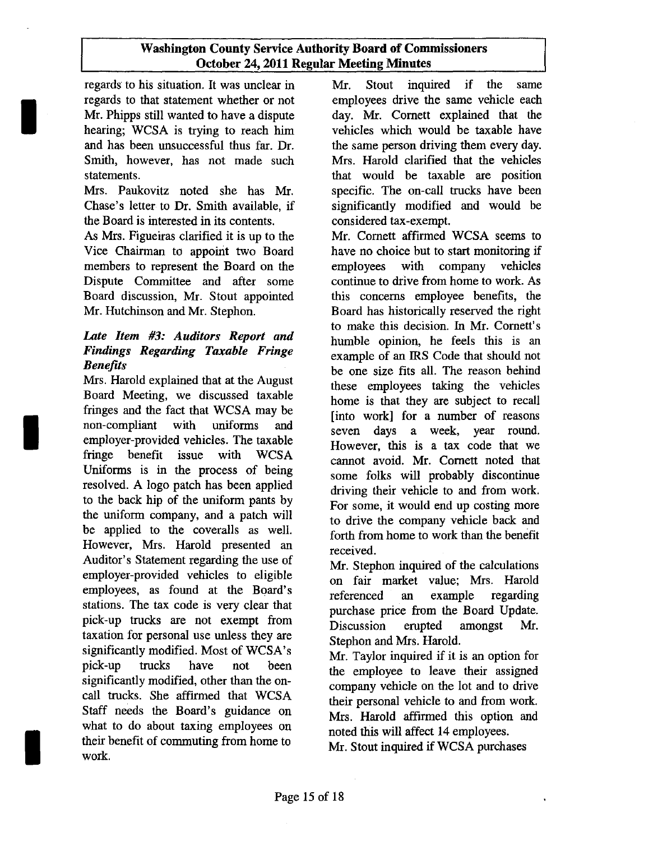regards' to his situation. It was unclear in Mr. Stout inquired if the same regards to that statement whether or not employees drive the same vehicle each Mr. Phipps still wanted to have a dispute day. Mr. Cornett explained that the hearing; WCSA is trying to reach him vehicles which would be taxable have and has been unsuccessful thus far. Dr. the same person driving them every day. Smith, however, has not made such Mrs. Harold clarified that the vehicles statements. that would be taxable are position

I

I

I

Mrs. Paukovitz noted she has Mr. specific. The on-call trucks have been Chase's letter to Dr. Smith available, if significantly modified and would be the Board is interested in its contents. considered tax-exempt.

As Mrs. Figueiras clarified it is up to the Mr. Cornett affirmed WCSA seems to Vice Chairman to appoint two Board have no choice but to start monitoring if members to represent the Board on the employees with company vehicles Dispute Committee and after some continue to drive from home to work. As Board discussion, Mr. Stout appointed this concerns employee benefits, the Mr. Hutchinson and Mr. Stephon. Board has historically reserved the right

# *Late Item* #3: *Auditors Report and Findings Regarding Taxable Fringe Benefits*

Mrs. Harold explained that at the August Board Meeting, we discussed taxable fringes and the fact that WCSA may be non-compliant with uniforms and employer-provided vehicles. The taxable fringe benefit issue with WCSA Uniforms is in the process of being resolved. A logo patch has been applied to the back hip of the uniform pants by the uniform company, and a patch will be applied to the coveralls as well. However, Mrs. Harold presented an Auditor's Statement regarding the use of employer-provided vehicles to eligible employees, as found at the Board's stations. The tax code is very clear that pick-up trucks are not exempt from taxation for personal use unless they are significantly modified. Most of WCSA's pick-up trucks have not been significantly modified, other than the oneall trucks. She affirmed that WCSA Staff needs the Board's guidance on what to do about taxing employees on their benefit of commuting from home to work.

to make this decision. In Mr. Cornett's humble opinion, he feels this is an example of an IRS Code that should not be one size fits all. The reason behind these employees taking the vehicles home is that they are subject to recall [into work] for a number of reasons seven days a week, year round. However, this is a tax code that we cannot avoid. Mr. Cornett noted that some folks will probably discontinue driving their vehicle to and from work. For some, it would end up costing more to drive the company vehicle back and forth from home to work than the benefit received.

Mr. Stephon inquired of the calculations on fair market value; Mrs. Harold referenced an example regarding purchase price from the Board Update. Discussion erupted amongst Mr. Stephon and Mrs. Harold.

Mr. Taylor inquired if it is an option for the employee to leave their assigned company vehicle on the lot and to drive their personal vehicle to and from work. Mrs. Harold affirmed this option and noted this will affect 14 employees.

Mr. Stout inquired if WCSA purchases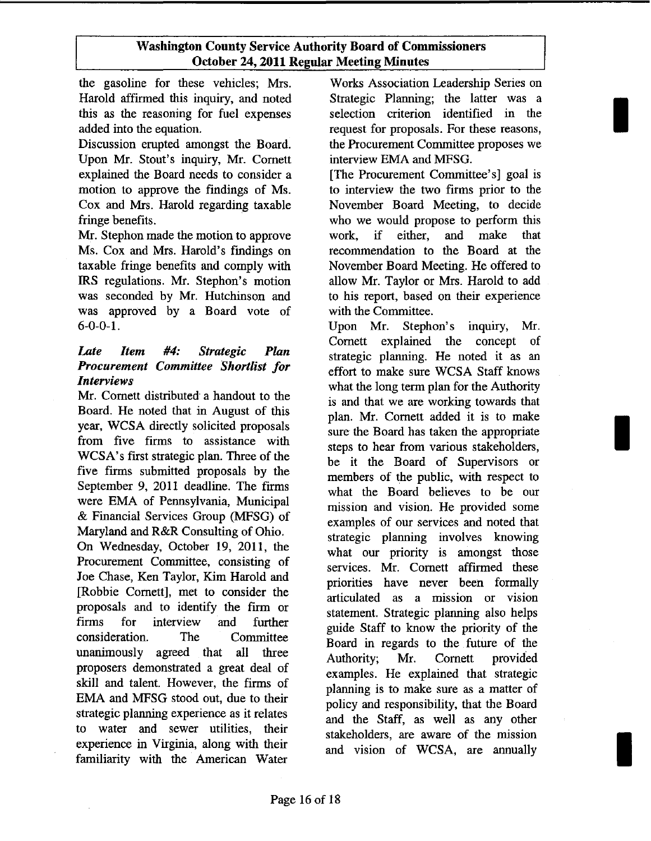the gasoline for these vehicles; Mrs. Harold affirmed this inquiry, and noted this as the reasoning for fuel expenses added into the equation.

Discussion erupted amongst the Board. Upon Mr. Stout's inquiry, Mr. Cornett explained the Board needs to consider a motion to approve the findings of Ms. Cox and Mrs. Harold regarding taxable fringe benefits.

Mr. Stephon made the motion to approve Ms. Cox and Mrs. Harold's findings on taxable fringe benefits and comply with IRS regulations. Mr. Stephon's motion was seconded by Mr. Hutchinson and was approved by a Board vote of 6-0-0-1.

# *Late Item* #4: *Strategic Plan Procurement Committee Shortlist for Interviews*

Mr. Cornett distributed a handout to the Board. He noted that in August of this year, WCSA directly solicited proposals from five firms to assistance with WCSA's first strategic plan. Three of the five firms submitted proposals by the September 9, 2011 deadline. The firms were EMA of Pennsylvania, Municipal & Financial Services Group (MFSG) of Maryland and R&R Consulting of Ohio.

On Wednesday, October 19, 2011, the Procurement Committee, consisting of Joe Chase, Ken Taylor, Kim Harold and [Robbie Cornett], met to consider the proposals and to identify the firm or firms for interview and further consideration. The Committee unanimously agreed that all three proposers demonstrated a great deal of skill and talent. However, the firms of EMA and MFSG stood out, due to their strategic planning experience as it relates to water and sewer utilities, their experience in Virginia, along with their familiarity with the American Water

Works Association Leadership Series on Strategic Planning; the latter was a selection criterion identified in the request for proposals. For these reasons, the Procurement Committee proposes we interview EMA and MFSG.

I

I

I

[The Procurement Committee's] goal is to interview the two firms prior to the November Board Meeting, to decide who we would propose to perform this work, if either, and make that recommendation to the Board at the November Board Meeting. He offered to allow Mr. Taylor or Mrs. Harold to add to his report, based on their experience with the Committee.

Upon Mr. Stephon's inquiry, Mr. Cornett explained the concept of strategic planning. He noted it as an effort to make sure WCSA Staff knows what the long term plan for the Authority is and that we are working towards that plan. Mr. Cornett added it is to make sure the Board has taken the appropriate steps to hear from various stakeholders, be it the Board of Supervisors or members of the public, with respect to what the Board believes to be our mission and vision. He provided some examples of our services and noted that strategic planning involves knowing what our priority is amongst those services. Mr. Cornett affirmed these priorities have never been formally articulated as a mission or vision statement. Strategic planning also helps guide Staff to know the priority of the Board in regards to the future of the Authority; Mr. Cornett provided examples. He explained that strategic planning is to make sure as a matter of policy and responsibility, that the Board and the Staff, as well as any other stakeholders, are aware of the mission and vision of WCSA, are annually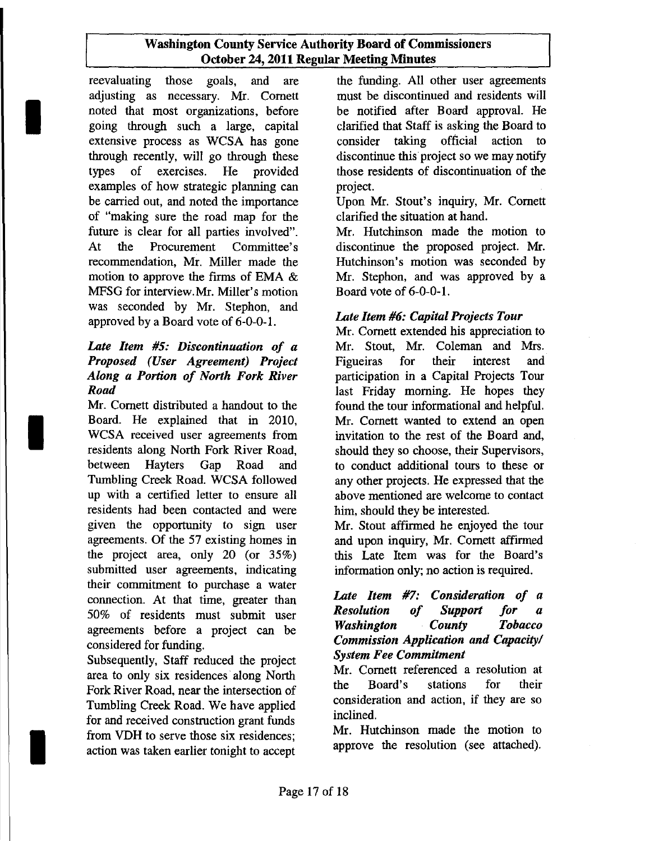reevaluating those goals, and are adjusting as necessary. Mr. Cornett noted that most organizations, before going through such a large, capital extensive process as WCSA has gone through recently, will go through these types of exercises. He provided examples of how strategic planning can be carried out, and noted the importance of "making Sure the road map for the future is clear for all parties involved". At the Procurement Committee's recommendation, Mr. Miller made the motion to approve the firms of EMA & MFSG for interview.Mr. Miller's motion was seconded by Mr. Stephon, and approved by a Board vote of 6-0-0-1.

I

I

I

# *Late Item* #5: *Discontinuation of a Proposed (User Agreement) Project Along a Portion of North Fork River Road*

Mr. Cornett distributed a handout to the Board. He explained that in 2010, WCSA received user agreements from residents along North Fork River Road, between Hayters Gap Road and Tumbling Creek Road. WCSA followed up with a certified letter to ensure all residents had been contacted and were given the opportunity to sign user agreements. Of the 57 existing homes in the project area, only 20 (or 35%) submitted user agreements, indicating their commitment to purchase a water connection. At that time, greater than 50% of residents must submit user agreements before a project can be considered for funding.

Subsequently, Staff reduced the project area to only six residences along North Fork River Road, near the intersection of Tumbling Creek Road. We have applied for and received construction grant funds from VDH to serve those six residences; action was taken earlier tonight to accept

the funding. All other user agreements must be discontinued and residents will be notified after Board approval. He clarified that Staff is asking the Board to consider taking official action to discontinue this project so we may notify those residents of discontinuation of the project.

Upon Mr. Stout's inquiry, Mr. Cornett clarified the situation at hand.

Mr. Hutchinson made the motion to discontinue the proposed project. Mr. Hutchinson's motion was seconded by Mr. Stephon, and was approved by a Board vote of 6-0-0-1.

# *Late Item* #6: *Capital Projects Tour*

Mr. Cornett extended his appreciation to Mr. Stout, Mr. Coleman and Mrs. Figueiras for their interest and participation in a Capital Projects Tour last Friday morning. He hopes they found the tour informational and helpful. Mr. Cornett wanted to extend an open invitation to the rest of the Board and, should they so choose, their Supervisors, to conduct additional tours to these or any other projects. He expressed that the above mentioned are welcome to contact him, should they be interested.

Mr. Stout affirmed he enjoyed the tour and upon inquiry, Mr. Cornett affirmed this Late Item was for the Board's information only; no action is required.

# *Late Item* #7: *Consideration of a Resolution of Support for a Washington County Tobacco Commission Application and Capacity/ System Fee Commitment*

Mr. Cornett referenced a resolution at the Board's stations for their consideration and action, if they are so inclined.

Mr. Hutchinson made the motion to approve the resolution (see attached).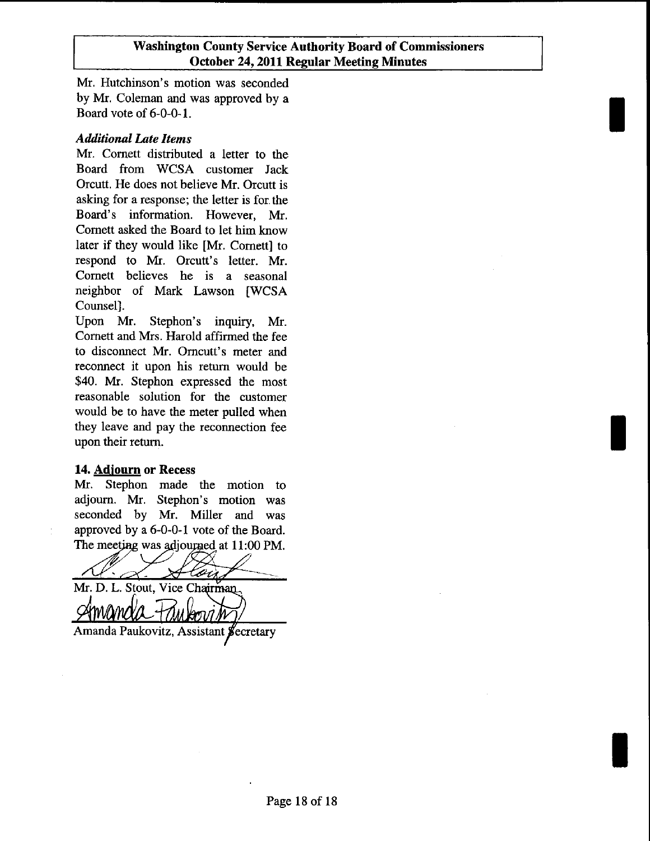I

I

I

Mr. Hutchinson's motion was seconded by Mr. Coleman and was approved by a Board vote of 6-0-0-1.

## *Additional Late Items*

Mr. Cornett distributed a letter to the Board from WCSA customer Jack Orcutt. He does not believe Mr. Orcutt is asking for a response; the letter is for the Board's information. However, Mr. Cornett asked the Board to let him know later if they would like [Mr. Cornett] to respond to Mr. Orcutt's letter. Mr. Cornett believes he is a seasonal neighbor of Mark Lawson [WCSA Counsel].

Upon Mr. Stephon's inquiry, Mr. Cornett and Mrs. Harold affirmed the fee to disconnect Mr. Omcutt's meter and reconnect it upon his return would be \$40. Mr. Stephon expressed the most reasonable solution for the customer would be to have the meter pulled when they leave and pay the reconnection fee upon their return.

# 14. Adjourn or Recess

Mr. Stephon made the motion to adjourn. Mr. Stephon's motion was seconded by Mr. Miller and was approved by a 6-0-0-1 vote of the Board. The meeting was adjourned at 11:00 PM.

'- aiz.

Mr. D. L. Stout, Vice Chairman Amanda Paukovitz, Assistant Secretary